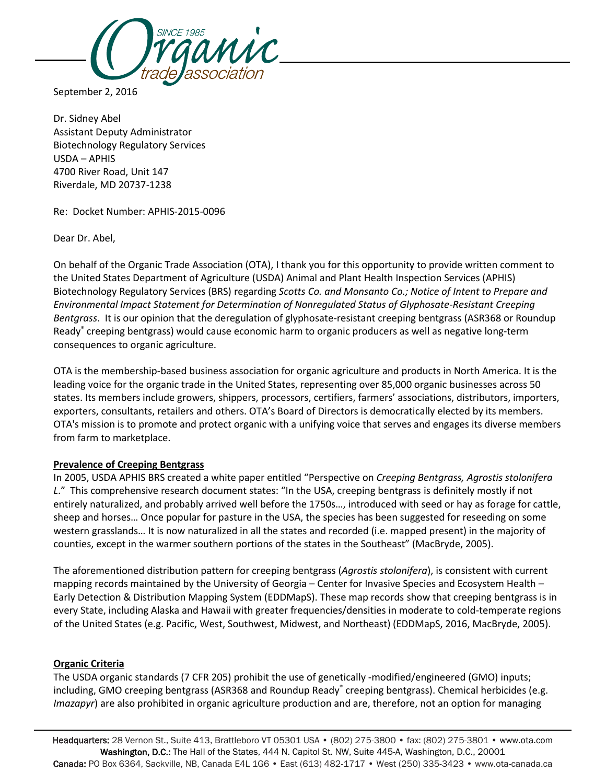

September 2, 2016

Dr. Sidney Abel Assistant Deputy Administrator Biotechnology Regulatory Services USDA – APHIS 4700 River Road, Unit 147 Riverdale, MD 20737-1238

Re: Docket Number: APHIS-2015-0096

Dear Dr. Abel,

On behalf of the Organic Trade Association (OTA), I thank you for this opportunity to provide written comment to the United States Department of Agriculture (USDA) Animal and Plant Health Inspection Services (APHIS) Biotechnology Regulatory Services (BRS) regarding *Scotts Co. and Monsanto Co.; Notice of Intent to Prepare and Environmental Impact Statement for Determination of Nonregulated Status of Glyphosate-Resistant Creeping Bentgrass*. It is our opinion that the deregulation of glyphosate-resistant creeping bentgrass (ASR368 or Roundup Ready<sup>®</sup> creeping bentgrass) would cause economic harm to organic producers as well as negative long-term consequences to organic agriculture.

OTA is the membership-based business association for organic agriculture and products in North America. It is the leading voice for the organic trade in the United States, representing over 85,000 organic businesses across 50 states. Its members include growers, shippers, processors, certifiers, farmers' associations, distributors, importers, exporters, consultants, retailers and others. OTA's Board of Directors is democratically elected by its members. OTA's mission is to promote and protect organic with a unifying voice that serves and engages its diverse members from farm to marketplace.

## **Prevalence of Creeping Bentgrass**

In 2005, USDA APHIS BRS created a white paper entitled "Perspective on *Creeping Bentgrass, Agrostis stolonifera L*." This comprehensive research document states: "In the USA, creeping bentgrass is definitely mostly if not entirely naturalized, and probably arrived well before the 1750s…, introduced with seed or hay as forage for cattle, sheep and horses… Once popular for pasture in the USA, the species has been suggested for reseeding on some western grasslands… It is now naturalized in all the states and recorded (i.e. mapped present) in the majority of counties, except in the warmer southern portions of the states in the Southeast" (MacBryde, 2005).

The aforementioned distribution pattern for creeping bentgrass (*Agrostis stolonifera*), is consistent with current mapping records maintained by the University of Georgia – Center for Invasive Species and Ecosystem Health – Early Detection & Distribution Mapping System (EDDMapS). These map records show that creeping bentgrass is in every State, including Alaska and Hawaii with greater frequencies/densities in moderate to cold-temperate regions of the United States (e.g. Pacific, West, Southwest, Midwest, and Northeast) (EDDMapS, 2016, MacBryde, 2005).

## **Organic Criteria**

The USDA organic standards (7 CFR 205) prohibit the use of genetically -modified/engineered (GMO) inputs; including, GMO creeping bentgrass (ASR368 and Roundup Ready<sup>®</sup> creeping bentgrass). Chemical herbicides (e.g. *Imazapyr*) are also prohibited in organic agriculture production and are, therefore, not an option for managing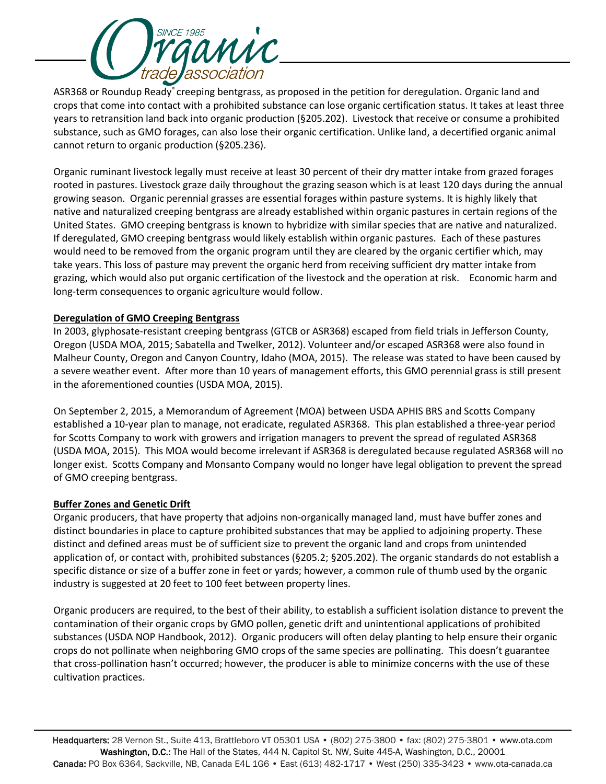

ASR368 or Roundup Ready® creeping bentgrass, as proposed in the petition for deregulation. Organic land and crops that come into contact with a prohibited substance can lose organic certification status. It takes at least three years to retransition land back into organic production (§205.202). Livestock that receive or consume a prohibited substance, such as GMO forages, can also lose their organic certification. Unlike land, a decertified organic animal cannot return to organic production (§205.236).

Organic ruminant livestock legally must receive at least 30 percent of their dry matter intake from grazed forages rooted in pastures. Livestock graze daily throughout the grazing season which is at least 120 days during the annual growing season. Organic perennial grasses are essential forages within pasture systems. It is highly likely that native and naturalized creeping bentgrass are already established within organic pastures in certain regions of the United States. GMO creeping bentgrass is known to hybridize with similar species that are native and naturalized. If deregulated, GMO creeping bentgrass would likely establish within organic pastures. Each of these pastures would need to be removed from the organic program until they are cleared by the organic certifier which, may take years. This loss of pasture may prevent the organic herd from receiving sufficient dry matter intake from grazing, which would also put organic certification of the livestock and the operation at risk. Economic harm and long-term consequences to organic agriculture would follow.

# **Deregulation of GMO Creeping Bentgrass**

In 2003, glyphosate-resistant creeping bentgrass (GTCB or ASR368) escaped from field trials in Jefferson County, Oregon (USDA MOA, 2015; Sabatella and Twelker, 2012). Volunteer and/or escaped ASR368 were also found in Malheur County, Oregon and Canyon Country, Idaho (MOA, 2015). The release was stated to have been caused by a severe weather event. After more than 10 years of management efforts, this GMO perennial grass is still present in the aforementioned counties (USDA MOA, 2015).

On September 2, 2015, a Memorandum of Agreement (MOA) between USDA APHIS BRS and Scotts Company established a 10-year plan to manage, not eradicate, regulated ASR368. This plan established a three-year period for Scotts Company to work with growers and irrigation managers to prevent the spread of regulated ASR368 (USDA MOA, 2015). This MOA would become irrelevant if ASR368 is deregulated because regulated ASR368 will no longer exist. Scotts Company and Monsanto Company would no longer have legal obligation to prevent the spread of GMO creeping bentgrass.

## **Buffer Zones and Genetic Drift**

Organic producers, that have property that adjoins non-organically managed land, must have buffer zones and distinct boundaries in place to capture prohibited substances that may be applied to adjoining property. These distinct and defined areas must be of sufficient size to prevent the organic land and crops from unintended application of, or contact with, prohibited substances (§205.2; §205.202). The organic standards do not establish a specific distance or size of a buffer zone in feet or yards; however, a common rule of thumb used by the organic industry is suggested at 20 feet to 100 feet between property lines.

Organic producers are required, to the best of their ability, to establish a sufficient isolation distance to prevent the contamination of their organic crops by GMO pollen, genetic drift and unintentional applications of prohibited substances (USDA NOP Handbook, 2012). Organic producers will often delay planting to help ensure their organic crops do not pollinate when neighboring GMO crops of the same species are pollinating. This doesn't guarantee that cross-pollination hasn't occurred; however, the producer is able to minimize concerns with the use of these cultivation practices.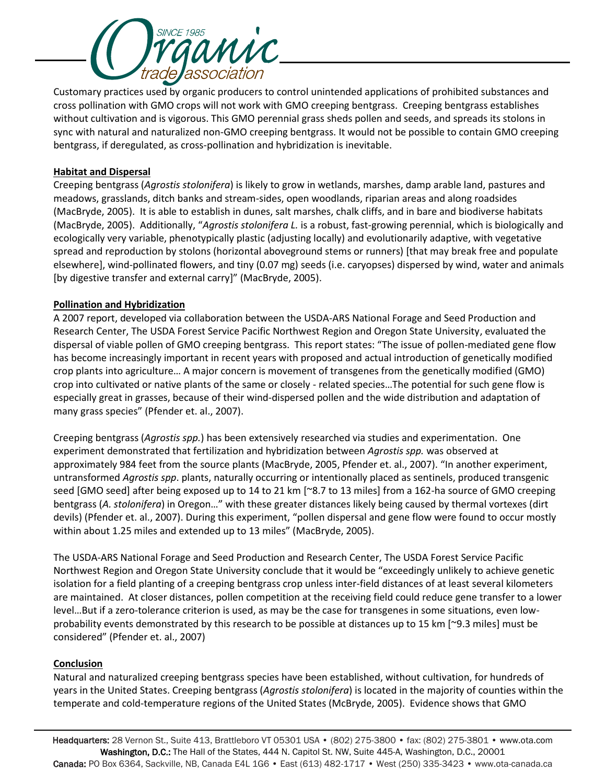

Customary practices used by organic producers to control unintended applications of prohibited substances and cross pollination with GMO crops will not work with GMO creeping bentgrass. Creeping bentgrass establishes without cultivation and is vigorous. This GMO perennial grass sheds pollen and seeds, and spreads its stolons in sync with natural and naturalized non-GMO creeping bentgrass. It would not be possible to contain GMO creeping bentgrass, if deregulated, as cross-pollination and hybridization is inevitable.

# **Habitat and Dispersal**

Creeping bentgrass (*Agrostis stolonifera*) is likely to grow in wetlands, marshes, damp arable land, pastures and meadows, grasslands, ditch banks and stream-sides, open woodlands, riparian areas and along roadsides (MacBryde, 2005). It is able to establish in dunes, salt marshes, chalk cliffs, and in bare and biodiverse habitats (MacBryde, 2005). Additionally, "*Agrostis stolonifera L.* is a robust, fast-growing perennial, which is biologically and ecologically very variable, phenotypically plastic (adjusting locally) and evolutionarily adaptive, with vegetative spread and reproduction by stolons (horizontal aboveground stems or runners) [that may break free and populate elsewhere], wind-pollinated flowers, and tiny (0.07 mg) seeds (i.e. caryopses) dispersed by wind, water and animals [by digestive transfer and external carry]" (MacBryde, 2005).

# **Pollination and Hybridization**

A 2007 report, developed via collaboration between the USDA-ARS National Forage and Seed Production and Research Center, The USDA Forest Service Pacific Northwest Region and Oregon State University, evaluated the dispersal of viable pollen of GMO creeping bentgrass. This report states: "The issue of pollen-mediated gene flow has become increasingly important in recent years with proposed and actual introduction of genetically modified crop plants into agriculture… A major concern is movement of transgenes from the genetically modified (GMO) crop into cultivated or native plants of the same or closely - related species…The potential for such gene flow is especially great in grasses, because of their wind-dispersed pollen and the wide distribution and adaptation of many grass species" (Pfender et. al., 2007).

Creeping bentgrass (*Agrostis spp.*) has been extensively researched via studies and experimentation. One experiment demonstrated that fertilization and hybridization between *Agrostis spp.* was observed at approximately 984 feet from the source plants (MacBryde, 2005, Pfender et. al., 2007). "In another experiment, untransformed *Agrostis spp*. plants, naturally occurring or intentionally placed as sentinels, produced transgenic seed [GMO seed] after being exposed up to 14 to 21 km [~8.7 to 13 miles] from a 162-ha source of GMO creeping bentgrass (*A. stolonifera*) in Oregon…" with these greater distances likely being caused by thermal vortexes (dirt devils) (Pfender et. al., 2007). During this experiment, "pollen dispersal and gene flow were found to occur mostly within about 1.25 miles and extended up to 13 miles" (MacBryde, 2005).

The USDA-ARS National Forage and Seed Production and Research Center, The USDA Forest Service Pacific Northwest Region and Oregon State University conclude that it would be "exceedingly unlikely to achieve genetic isolation for a field planting of a creeping bentgrass crop unless inter-field distances of at least several kilometers are maintained. At closer distances, pollen competition at the receiving field could reduce gene transfer to a lower level…But if a zero-tolerance criterion is used, as may be the case for transgenes in some situations, even lowprobability events demonstrated by this research to be possible at distances up to 15 km [~9.3 miles] must be considered" (Pfender et. al., 2007)

## **Conclusion**

Natural and naturalized creeping bentgrass species have been established, without cultivation, for hundreds of years in the United States. Creeping bentgrass (*Agrostis stolonifera*) is located in the majority of counties within the temperate and cold-temperature regions of the United States (McBryde, 2005). Evidence shows that GMO

Headquarters: 28 Vernon St., Suite 413, Brattleboro VT 05301 USA • (802) 275-3800 • fax: (802) 275-3801 • [www.ota.com](http://www.ota.com/) Washington, D.C.: The Hall of the States, 444 N. Capitol St. NW, Suite 445-A, Washington, D.C., 20001 Canada: PO Box 6364, Sackville, NB, Canada E4L 1G6 • East (613) 482-1717 • West (250) 335-3423 • www.ota-canada.ca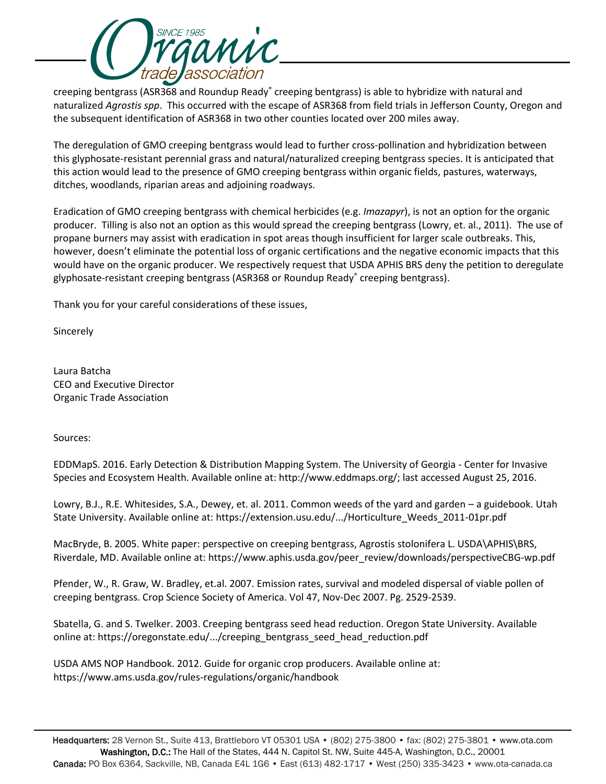

creeping bentgrass (ASR368 and Roundup Ready<sup>®</sup> creeping bentgrass) is able to hybridize with natural and naturalized *Agrostis spp*. This occurred with the escape of ASR368 from field trials in Jefferson County, Oregon and the subsequent identification of ASR368 in two other counties located over 200 miles away.

The deregulation of GMO creeping bentgrass would lead to further cross-pollination and hybridization between this glyphosate-resistant perennial grass and natural/naturalized creeping bentgrass species. It is anticipated that this action would lead to the presence of GMO creeping bentgrass within organic fields, pastures, waterways, ditches, woodlands, riparian areas and adjoining roadways.

Eradication of GMO creeping bentgrass with chemical herbicides (e.g. *Imazapyr*), is not an option for the organic producer. Tilling is also not an option as this would spread the creeping bentgrass (Lowry, et. al., 2011). The use of propane burners may assist with eradication in spot areas though insufficient for larger scale outbreaks. This, however, doesn't eliminate the potential loss of organic certifications and the negative economic impacts that this would have on the organic producer. We respectively request that USDA APHIS BRS deny the petition to deregulate glyphosate-resistant creeping bentgrass (ASR368 or Roundup Ready® creeping bentgrass).

Thank you for your careful considerations of these issues,

Sincerely

Laura Batcha CEO and Executive Director Organic Trade Association

Sources:

EDDMapS. 2016. Early Detection & Distribution Mapping System. The University of Georgia - Center for Invasive Species and Ecosystem Health. Available online at: http://www.eddmaps.org/; last accessed August 25, 2016.

Lowry, B.J., R.E. Whitesides, S.A., Dewey, et. al. 2011. Common weeds of the yard and garden – a guidebook. Utah State University. Available online at: [https://extension.usu.edu/.../Horticulture\\_Weeds\\_2011-01pr.pdf](https://extension.usu.edu/.../Horticulture_Weeds_2011-01pr.pdf)

MacBryde, B. 2005. White paper: perspective on creeping bentgrass, Agrostis stolonifera L. USDA\APHIS\BRS, Riverdale, MD. Available online at: https://www.aphis.usda.gov/peer\_review/downloads/perspectiveCBG-wp.pdf

Pfender, W., R. Graw, W. Bradley, et.al. 2007. Emission rates, survival and modeled dispersal of viable pollen of creeping bentgrass. Crop Science Society of America. Vol 47, Nov-Dec 2007. Pg. 2529-2539.

Sbatella, G. and S. Twelker. 2003. Creeping bentgrass seed head reduction. Oregon State University. Available online at: https://oregonstate.edu/.../creeping\_bentgrass\_seed\_head\_reduction.pdf

USDA AMS NOP Handbook. 2012. Guide for organic crop producers. Available online at: https://www.ams.usda.gov/rules-regulations/organic/handbook